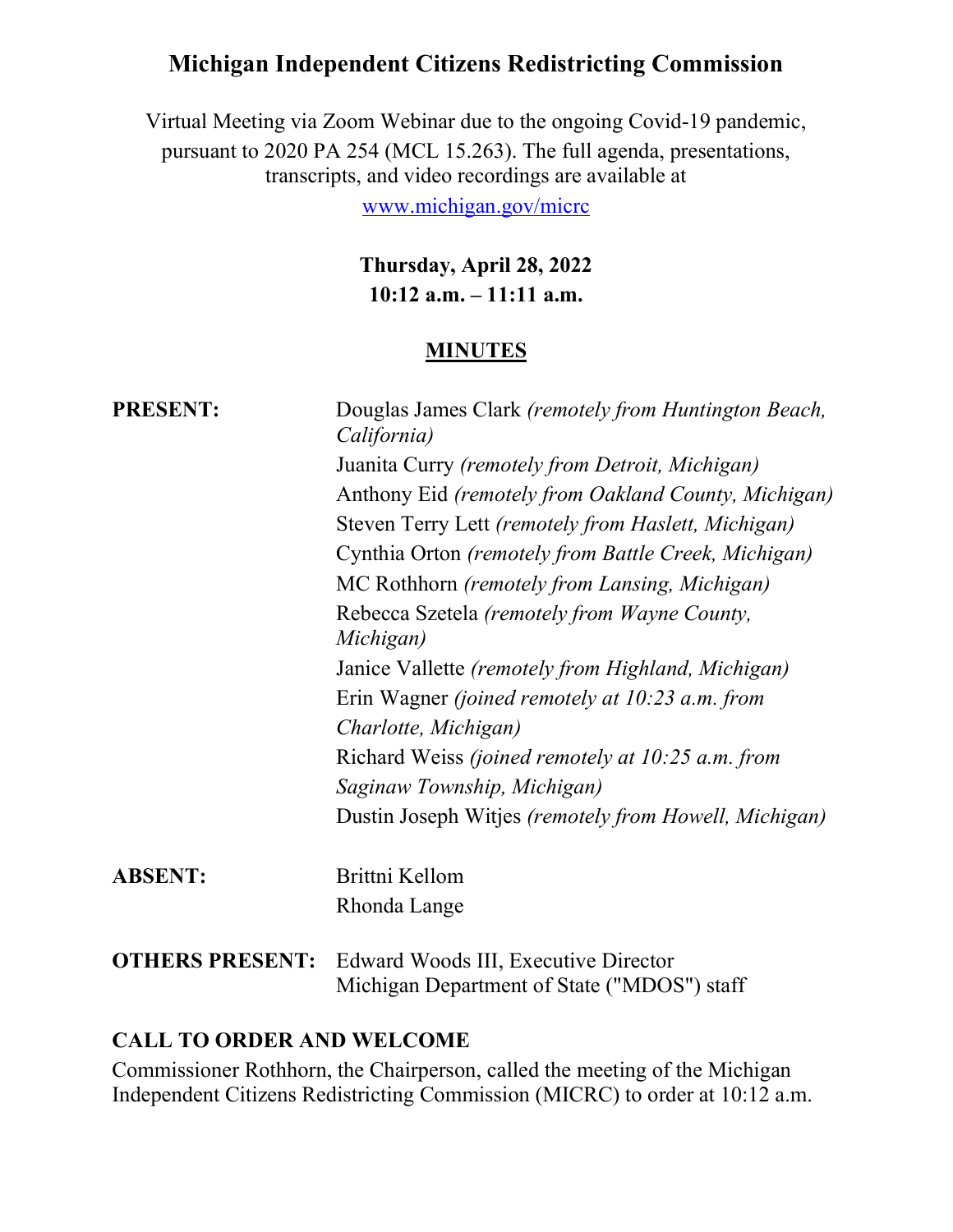# Michigan Independent Citizens Redistricting Commission

Virtual Meeting via Zoom Webinar due to the ongoing Covid-19 pandemic, pursuant to 2020 PA 254 (MCL 15.263). The full agenda, presentations, transcripts, and video recordings are available at

www.michigan.gov/micrc

Thursday, April 28, 2022 10:12 a.m. – 11:11 a.m.

#### **MINUTES**

| <b>PRESENT:</b> | Douglas James Clark (remotely from Huntington Beach,<br>California)<br>Juanita Curry (remotely from Detroit, Michigan)<br>Anthony Eid (remotely from Oakland County, Michigan)<br>Steven Terry Lett (remotely from Haslett, Michigan)<br>Cynthia Orton (remotely from Battle Creek, Michigan)<br>MC Rothhorn (remotely from Lansing, Michigan)<br>Rebecca Szetela (remotely from Wayne County,<br>Michigan)<br>Janice Vallette (remotely from Highland, Michigan)<br>Erin Wagner (joined remotely at 10:23 a.m. from<br>Charlotte, Michigan)<br>Richard Weiss <i>(joined remotely at 10:25 a.m. from</i><br>Saginaw Township, Michigan) |
|-----------------|-----------------------------------------------------------------------------------------------------------------------------------------------------------------------------------------------------------------------------------------------------------------------------------------------------------------------------------------------------------------------------------------------------------------------------------------------------------------------------------------------------------------------------------------------------------------------------------------------------------------------------------------|
|                 | Dustin Joseph Witjes (remotely from Howell, Michigan)                                                                                                                                                                                                                                                                                                                                                                                                                                                                                                                                                                                   |
| <b>ABSENT:</b>  | Brittni Kellom<br>Rhonda Lange                                                                                                                                                                                                                                                                                                                                                                                                                                                                                                                                                                                                          |
|                 | <b>OTHERS PRESENT:</b> Edward Woods III, Executive Director<br>Michigan Department of State ("MDOS") staff                                                                                                                                                                                                                                                                                                                                                                                                                                                                                                                              |

#### CALL TO ORDER AND WELCOME

Commissioner Rothhorn, the Chairperson, called the meeting of the Michigan Independent Citizens Redistricting Commission (MICRC) to order at 10:12 a.m.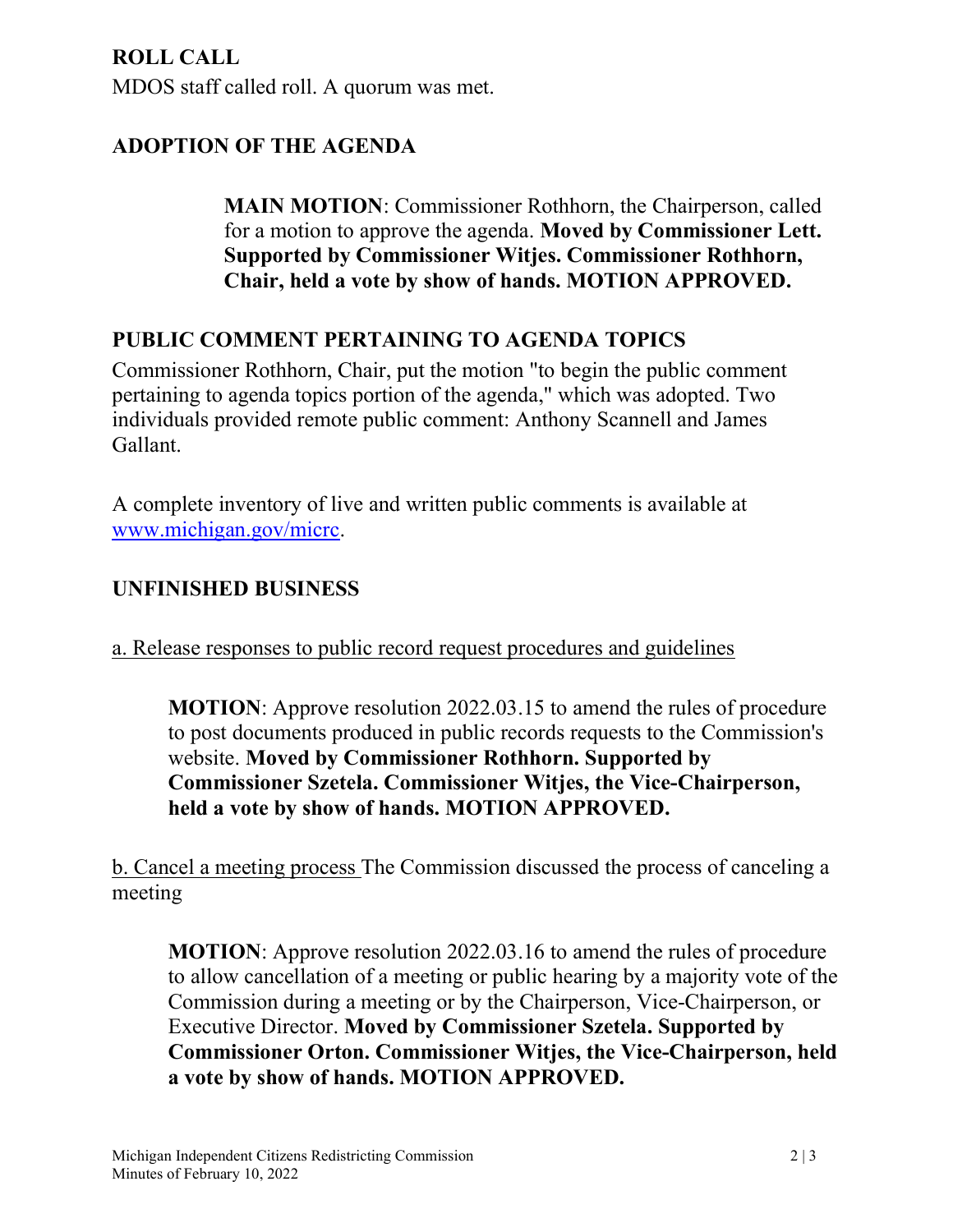## ROLL CALL

MDOS staff called roll. A quorum was met.

## ADOPTION OF THE AGENDA

MAIN MOTION: Commissioner Rothhorn, the Chairperson, called for a motion to approve the agenda. Moved by Commissioner Lett. Supported by Commissioner Witjes. Commissioner Rothhorn, Chair, held a vote by show of hands. MOTION APPROVED.

## PUBLIC COMMENT PERTAINING TO AGENDA TOPICS

Commissioner Rothhorn, Chair, put the motion "to begin the public comment pertaining to agenda topics portion of the agenda," which was adopted. Two individuals provided remote public comment: Anthony Scannell and James Gallant.

A complete inventory of live and written public comments is available at www.michigan.gov/micrc.

## UNFINISHED BUSINESS

a. Release responses to public record request procedures and guidelines

MOTION: Approve resolution 2022.03.15 to amend the rules of procedure to post documents produced in public records requests to the Commission's website. Moved by Commissioner Rothhorn. Supported by Commissioner Szetela. Commissioner Witjes, the Vice-Chairperson, held a vote by show of hands. MOTION APPROVED.

b. Cancel a meeting process The Commission discussed the process of canceling a meeting

MOTION: Approve resolution 2022.03.16 to amend the rules of procedure to allow cancellation of a meeting or public hearing by a majority vote of the Commission during a meeting or by the Chairperson, Vice-Chairperson, or Executive Director. Moved by Commissioner Szetela. Supported by Commissioner Orton. Commissioner Witjes, the Vice-Chairperson, held a vote by show of hands. MOTION APPROVED.